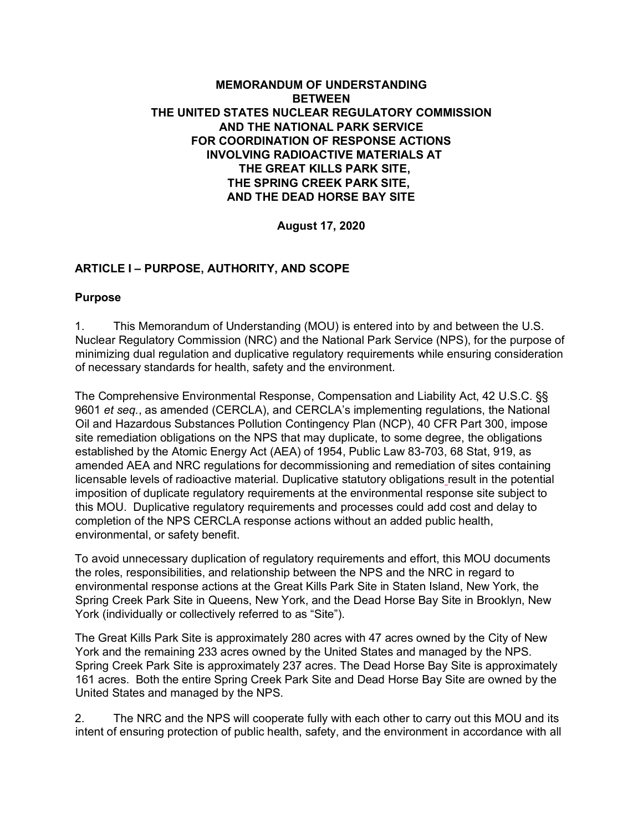## **MEMORANDUM OF UNDERSTANDING BETWEEN THE UNITED STATES NUCLEAR REGULATORY COMMISSION AND THE NATIONAL PARK SERVICE FOR COORDINATION OF RESPONSE ACTIONS INVOLVING RADIOACTIVE MATERIALS AT THE GREAT KILLS PARK SITE, THE SPRING CREEK PARK SITE, AND THE DEAD HORSE BAY SITE**

**August 17, 2020**

## **ARTICLE I – PURPOSE, AUTHORITY, AND SCOPE**

#### **Purpose**

1. This Memorandum of Understanding (MOU) is entered into by and between the U.S. Nuclear Regulatory Commission (NRC) and the National Park Service (NPS), for the purpose of minimizing dual regulation and duplicative regulatory requirements while ensuring consideration of necessary standards for health, safety and the environment.

The Comprehensive Environmental Response, Compensation and Liability Act, 42 U.S.C. §§ 9601 *et seq.*, as amended (CERCLA), and CERCLA's implementing regulations, the National Oil and Hazardous Substances Pollution Contingency Plan (NCP), 40 CFR Part 300, impose site remediation obligations on the NPS that may duplicate, to some degree, the obligations established by the Atomic Energy Act (AEA) of 1954, Public Law 83-703, 68 Stat, 919, as amended AEA and NRC regulations for decommissioning and remediation of sites containing licensable levels of radioactive material. Duplicative statutory obligations result in the potential imposition of duplicate regulatory requirements at the environmental response site subject to this MOU. Duplicative regulatory requirements and processes could add cost and delay to completion of the NPS CERCLA response actions without an added public health, environmental, or safety benefit.

To avoid unnecessary duplication of regulatory requirements and effort, this MOU documents the roles, responsibilities, and relationship between the NPS and the NRC in regard to environmental response actions at the Great Kills Park Site in Staten Island, New York, the Spring Creek Park Site in Queens, New York, and the Dead Horse Bay Site in Brooklyn, New York (individually or collectively referred to as "Site").

The Great Kills Park Site is approximately 280 acres with 47 acres owned by the City of New York and the remaining 233 acres owned by the United States and managed by the NPS. Spring Creek Park Site is approximately 237 acres. The Dead Horse Bay Site is approximately 161 acres. Both the entire Spring Creek Park Site and Dead Horse Bay Site are owned by the United States and managed by the NPS.

2. The NRC and the NPS will cooperate fully with each other to carry out this MOU and its intent of ensuring protection of public health, safety, and the environment in accordance with all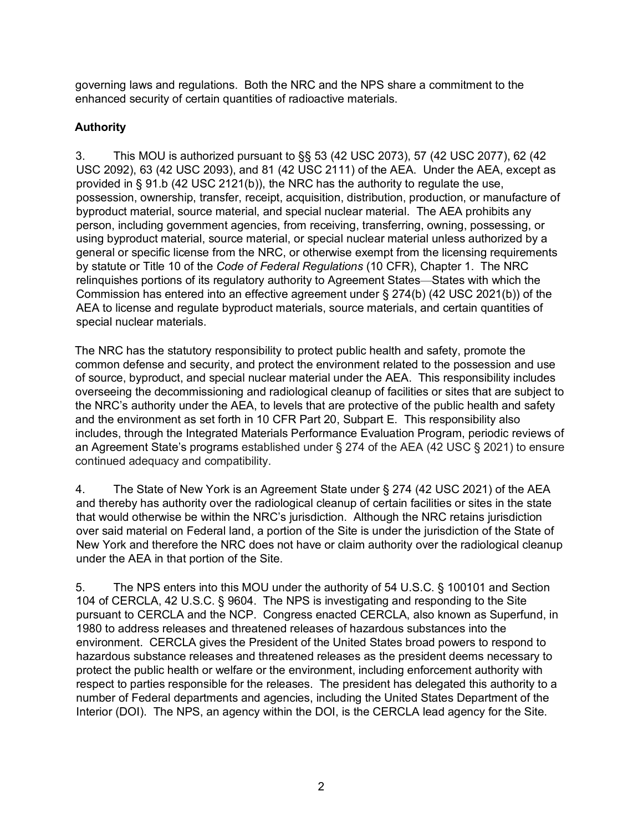governing laws and regulations. Both the NRC and the NPS share a commitment to the enhanced security of certain quantities of radioactive materials.

# **Authority**

3. This MOU is authorized pursuant to §§ 53 (42 USC 2073), 57 (42 USC 2077), 62 (42 USC 2092), 63 (42 USC 2093), and 81 (42 USC 2111) of the AEA. Under the AEA, except as provided in § 91.b (42 USC 2121(b)), the NRC has the authority to regulate the use, possession, ownership, transfer, receipt, acquisition, distribution, production, or manufacture of byproduct material, source material, and special nuclear material. The AEA prohibits any person, including government agencies, from receiving, transferring, owning, possessing, or using byproduct material, source material, or special nuclear material unless authorized by a general or specific license from the NRC, or otherwise exempt from the licensing requirements by statute or Title 10 of the *Code of Federal Regulations* (10 CFR), Chapter 1. The NRC relinquishes portions of its regulatory authority to Agreement States—States with which the Commission has entered into an effective agreement under § 274(b) (42 USC 2021(b)) of the AEA to license and regulate byproduct materials, source materials, and certain quantities of special nuclear materials.

The NRC has the statutory responsibility to protect public health and safety, promote the common defense and security, and protect the environment related to the possession and use of source, byproduct, and special nuclear material under the AEA. This responsibility includes overseeing the decommissioning and radiological cleanup of facilities or sites that are subject to the NRC's authority under the AEA, to levels that are protective of the public health and safety and the environment as set forth in 10 CFR Part 20, Subpart E. This responsibility also includes, through the Integrated Materials Performance Evaluation Program, periodic reviews of an Agreement State's programs established under § 274 of the AEA (42 USC § 2021) to ensure continued adequacy and compatibility.

4. The State of New York is an Agreement State under § 274 (42 USC 2021) of the AEA and thereby has authority over the radiological cleanup of certain facilities or sites in the state that would otherwise be within the NRC's jurisdiction. Although the NRC retains jurisdiction over said material on Federal land, a portion of the Site is under the jurisdiction of the State of New York and therefore the NRC does not have or claim authority over the radiological cleanup under the AEA in that portion of the Site.

5. The NPS enters into this MOU under the authority of 54 U.S.C. § 100101 and Section 104 of CERCLA, 42 U.S.C. § 9604. The NPS is investigating and responding to the Site pursuant to CERCLA and the NCP. Congress enacted CERCLA, also known as Superfund, in 1980 to address releases and threatened releases of hazardous substances into the environment. CERCLA gives the President of the United States broad powers to respond to hazardous substance releases and threatened releases as the president deems necessary to protect the public health or welfare or the environment, including enforcement authority with respect to parties responsible for the releases. The president has delegated this authority to a number of Federal departments and agencies, including the United States Department of the Interior (DOI). The NPS, an agency within the DOI, is the CERCLA lead agency for the Site.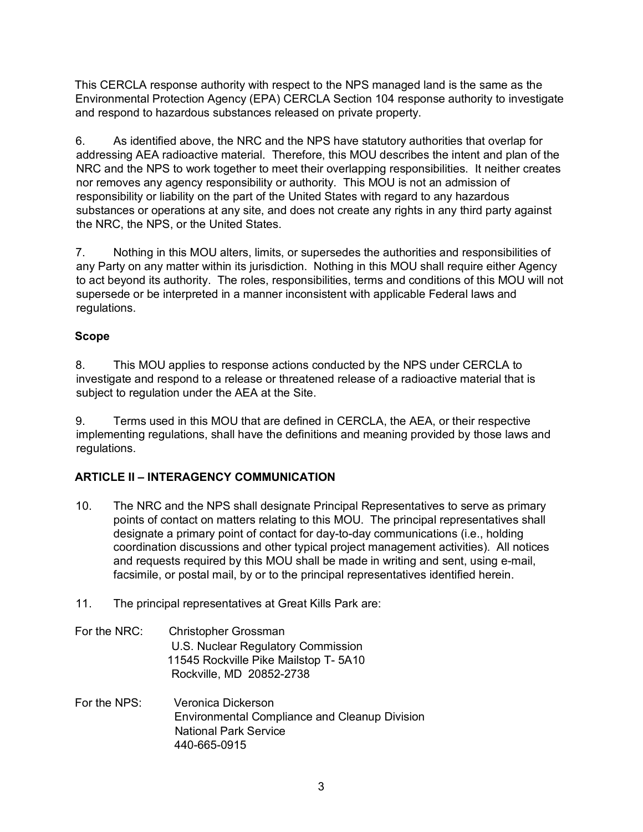This CERCLA response authority with respect to the NPS managed land is the same as the Environmental Protection Agency (EPA) CERCLA Section 104 response authority to investigate and respond to hazardous substances released on private property.

6. As identified above, the NRC and the NPS have statutory authorities that overlap for addressing AEA radioactive material. Therefore, this MOU describes the intent and plan of the NRC and the NPS to work together to meet their overlapping responsibilities. It neither creates nor removes any agency responsibility or authority. This MOU is not an admission of responsibility or liability on the part of the United States with regard to any hazardous substances or operations at any site, and does not create any rights in any third party against the NRC, the NPS, or the United States.

7. Nothing in this MOU alters, limits, or supersedes the authorities and responsibilities of any Party on any matter within its jurisdiction. Nothing in this MOU shall require either Agency to act beyond its authority. The roles, responsibilities, terms and conditions of this MOU will not supersede or be interpreted in a manner inconsistent with applicable Federal laws and regulations.

#### **Scope**

8. This MOU applies to response actions conducted by the NPS under CERCLA to investigate and respond to a release or threatened release of a radioactive material that is subject to regulation under the AEA at the Site.

9. Terms used in this MOU that are defined in CERCLA, the AEA, or their respective implementing regulations, shall have the definitions and meaning provided by those laws and regulations.

#### **ARTICLE II – INTERAGENCY COMMUNICATION**

- 10. The NRC and the NPS shall designate Principal Representatives to serve as primary points of contact on matters relating to this MOU. The principal representatives shall designate a primary point of contact for day-to-day communications (i.e., holding coordination discussions and other typical project management activities). All notices and requests required by this MOU shall be made in writing and sent, using e-mail, facsimile, or postal mail, by or to the principal representatives identified herein.
- 11. The principal representatives at Great Kills Park are:

#### For the NRC: Christopher Grossman U.S. Nuclear Regulatory Commission 11545 Rockville Pike Mailstop T- 5A10 Rockville, MD 20852-2738

For the NPS: Veronica Dickerson Environmental Compliance and Cleanup Division National Park Service 440-665-0915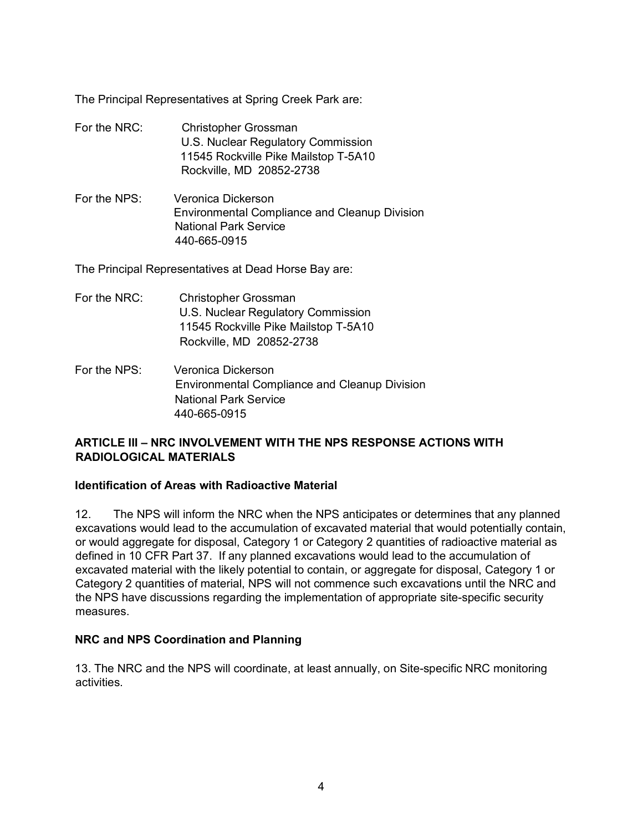The Principal Representatives at Spring Creek Park are:

- For the NRC: Christopher Grossman U.S. Nuclear Regulatory Commission 11545 Rockville Pike Mailstop T-5A10 Rockville, MD 20852-2738
- For the NPS: Veronica Dickerson Environmental Compliance and Cleanup Division National Park Service 440-665-0915

The Principal Representatives at Dead Horse Bay are:

- For the NRC: Christopher Grossman U.S. Nuclear Regulatory Commission 11545 Rockville Pike Mailstop T-5A10 Rockville, MD 20852-2738
- For the NPS: Veronica Dickerson Environmental Compliance and Cleanup Division National Park Service 440-665-0915

## **ARTICLE III – NRC INVOLVEMENT WITH THE NPS RESPONSE ACTIONS WITH RADIOLOGICAL MATERIALS**

### **Identification of Areas with Radioactive Material**

12. The NPS will inform the NRC when the NPS anticipates or determines that any planned excavations would lead to the accumulation of excavated material that would potentially contain, or would aggregate for disposal, Category 1 or Category 2 quantities of radioactive material as defined in 10 CFR Part 37. If any planned excavations would lead to the accumulation of excavated material with the likely potential to contain, or aggregate for disposal, Category 1 or Category 2 quantities of material, NPS will not commence such excavations until the NRC and the NPS have discussions regarding the implementation of appropriate site-specific security measures.

# **NRC and NPS Coordination and Planning**

13. The NRC and the NPS will coordinate, at least annually, on Site-specific NRC monitoring activities.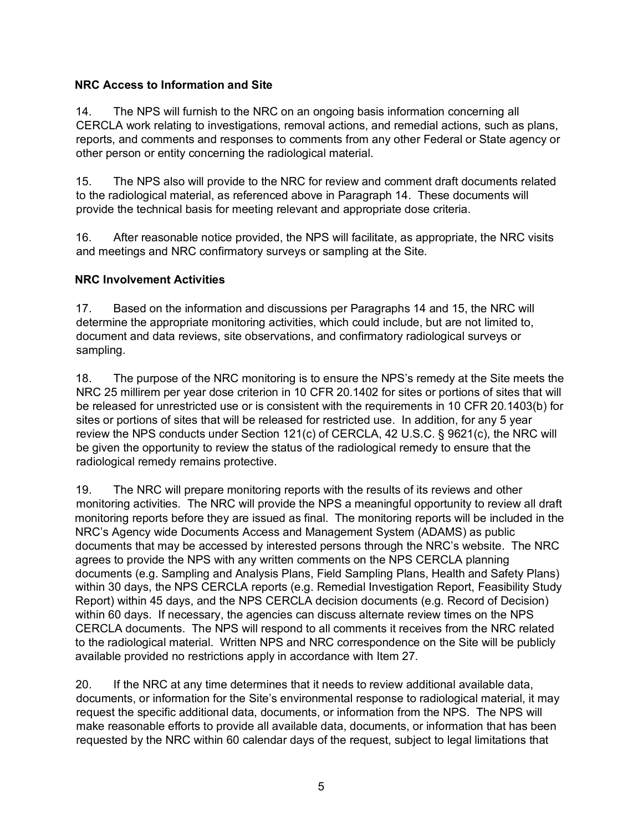## **NRC Access to Information and Site**

14. The NPS will furnish to the NRC on an ongoing basis information concerning all CERCLA work relating to investigations, removal actions, and remedial actions, such as plans, reports, and comments and responses to comments from any other Federal or State agency or other person or entity concerning the radiological material.

15. The NPS also will provide to the NRC for review and comment draft documents related to the radiological material, as referenced above in Paragraph 14. These documents will provide the technical basis for meeting relevant and appropriate dose criteria.

16. After reasonable notice provided, the NPS will facilitate, as appropriate, the NRC visits and meetings and NRC confirmatory surveys or sampling at the Site.

## **NRC Involvement Activities**

17. Based on the information and discussions per Paragraphs 14 and 15, the NRC will determine the appropriate monitoring activities, which could include, but are not limited to, document and data reviews, site observations, and confirmatory radiological surveys or sampling.

18. The purpose of the NRC monitoring is to ensure the NPS's remedy at the Site meets the NRC 25 millirem per year dose criterion in 10 CFR 20.1402 for sites or portions of sites that will be released for unrestricted use or is consistent with the requirements in 10 CFR 20.1403(b) for sites or portions of sites that will be released for restricted use. In addition, for any 5 year review the NPS conducts under Section 121(c) of CERCLA, 42 U.S.C. § 9621(c), the NRC will be given the opportunity to review the status of the radiological remedy to ensure that the radiological remedy remains protective.

19. The NRC will prepare monitoring reports with the results of its reviews and other monitoring activities. The NRC will provide the NPS a meaningful opportunity to review all draft monitoring reports before they are issued as final. The monitoring reports will be included in the NRC's Agency wide Documents Access and Management System (ADAMS) as public documents that may be accessed by interested persons through the NRC's website. The NRC agrees to provide the NPS with any written comments on the NPS CERCLA planning documents (e.g. Sampling and Analysis Plans, Field Sampling Plans, Health and Safety Plans) within 30 days, the NPS CERCLA reports (e.g. Remedial Investigation Report, Feasibility Study Report) within 45 days, and the NPS CERCLA decision documents (e.g. Record of Decision) within 60 days. If necessary, the agencies can discuss alternate review times on the NPS CERCLA documents. The NPS will respond to all comments it receives from the NRC related to the radiological material. Written NPS and NRC correspondence on the Site will be publicly available provided no restrictions apply in accordance with Item 27.

20. If the NRC at any time determines that it needs to review additional available data, documents, or information for the Site's environmental response to radiological material, it may request the specific additional data, documents, or information from the NPS. The NPS will make reasonable efforts to provide all available data, documents, or information that has been requested by the NRC within 60 calendar days of the request, subject to legal limitations that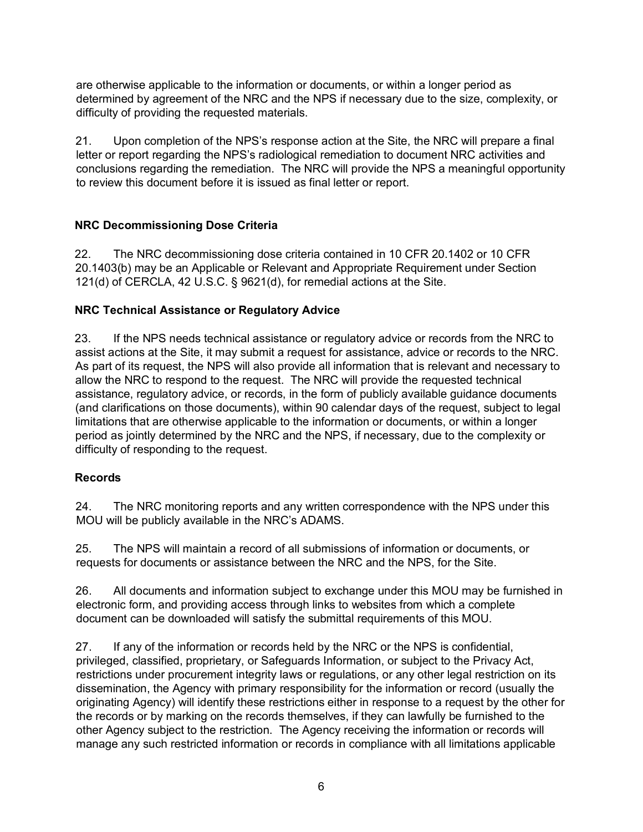are otherwise applicable to the information or documents, or within a longer period as determined by agreement of the NRC and the NPS if necessary due to the size, complexity, or difficulty of providing the requested materials.

21. Upon completion of the NPS's response action at the Site, the NRC will prepare a final letter or report regarding the NPS's radiological remediation to document NRC activities and conclusions regarding the remediation. The NRC will provide the NPS a meaningful opportunity to review this document before it is issued as final letter or report.

## **NRC Decommissioning Dose Criteria**

22. The NRC decommissioning dose criteria contained in 10 CFR 20.1402 or 10 CFR 20.1403(b) may be an Applicable or Relevant and Appropriate Requirement under Section 121(d) of CERCLA, 42 U.S.C. § 9621(d), for remedial actions at the Site.

### **NRC Technical Assistance or Regulatory Advice**

23. If the NPS needs technical assistance or regulatory advice or records from the NRC to assist actions at the Site, it may submit a request for assistance, advice or records to the NRC. As part of its request, the NPS will also provide all information that is relevant and necessary to allow the NRC to respond to the request. The NRC will provide the requested technical assistance, regulatory advice, or records, in the form of publicly available guidance documents (and clarifications on those documents), within 90 calendar days of the request, subject to legal limitations that are otherwise applicable to the information or documents, or within a longer period as jointly determined by the NRC and the NPS, if necessary, due to the complexity or difficulty of responding to the request.

#### **Records**

24. The NRC monitoring reports and any written correspondence with the NPS under this MOU will be publicly available in the NRC's ADAMS.

25. The NPS will maintain a record of all submissions of information or documents, or requests for documents or assistance between the NRC and the NPS, for the Site.

26. All documents and information subject to exchange under this MOU may be furnished in electronic form, and providing access through links to websites from which a complete document can be downloaded will satisfy the submittal requirements of this MOU.

27. If any of the information or records held by the NRC or the NPS is confidential, privileged, classified, proprietary, or Safeguards Information, or subject to the Privacy Act, restrictions under procurement integrity laws or regulations, or any other legal restriction on its dissemination, the Agency with primary responsibility for the information or record (usually the originating Agency) will identify these restrictions either in response to a request by the other for the records or by marking on the records themselves, if they can lawfully be furnished to the other Agency subject to the restriction. The Agency receiving the information or records will manage any such restricted information or records in compliance with all limitations applicable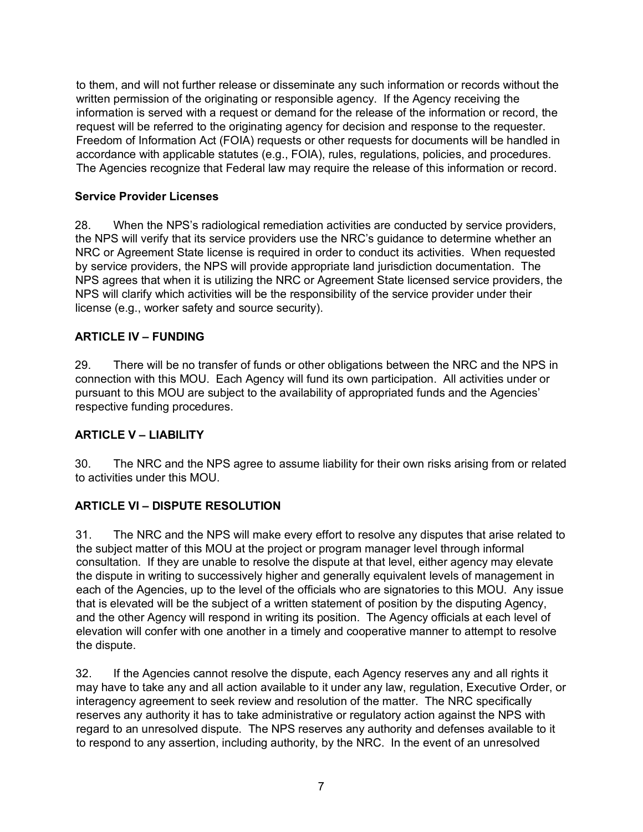to them, and will not further release or disseminate any such information or records without the written permission of the originating or responsible agency. If the Agency receiving the information is served with a request or demand for the release of the information or record, the request will be referred to the originating agency for decision and response to the requester. Freedom of Information Act (FOIA) requests or other requests for documents will be handled in accordance with applicable statutes (e.g., FOIA), rules, regulations, policies, and procedures. The Agencies recognize that Federal law may require the release of this information or record.

# **Service Provider Licenses**

28. When the NPS's radiological remediation activities are conducted by service providers, the NPS will verify that its service providers use the NRC's guidance to determine whether an NRC or Agreement State license is required in order to conduct its activities. When requested by service providers, the NPS will provide appropriate land jurisdiction documentation. The NPS agrees that when it is utilizing the NRC or Agreement State licensed service providers, the NPS will clarify which activities will be the responsibility of the service provider under their license (e.g., worker safety and source security).

## **ARTICLE IV – FUNDING**

29. There will be no transfer of funds or other obligations between the NRC and the NPS in connection with this MOU. Each Agency will fund its own participation. All activities under or pursuant to this MOU are subject to the availability of appropriated funds and the Agencies' respective funding procedures.

### **ARTICLE V – LIABILITY**

30. The NRC and the NPS agree to assume liability for their own risks arising from or related to activities under this MOU.

# **ARTICLE VI – DISPUTE RESOLUTION**

31. The NRC and the NPS will make every effort to resolve any disputes that arise related to the subject matter of this MOU at the project or program manager level through informal consultation. If they are unable to resolve the dispute at that level, either agency may elevate the dispute in writing to successively higher and generally equivalent levels of management in each of the Agencies, up to the level of the officials who are signatories to this MOU. Any issue that is elevated will be the subject of a written statement of position by the disputing Agency, and the other Agency will respond in writing its position. The Agency officials at each level of elevation will confer with one another in a timely and cooperative manner to attempt to resolve the dispute.

32. If the Agencies cannot resolve the dispute, each Agency reserves any and all rights it may have to take any and all action available to it under any law, regulation, Executive Order, or interagency agreement to seek review and resolution of the matter. The NRC specifically reserves any authority it has to take administrative or regulatory action against the NPS with regard to an unresolved dispute. The NPS reserves any authority and defenses available to it to respond to any assertion, including authority, by the NRC. In the event of an unresolved